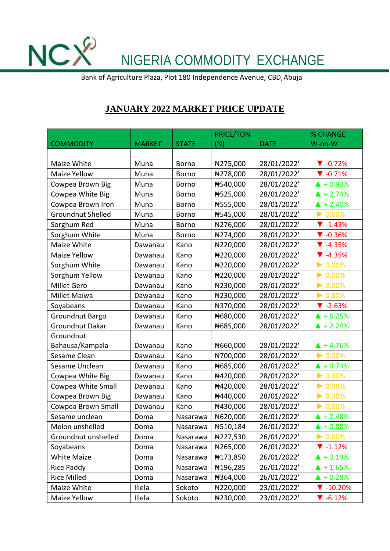NCX<sup>2</sup> NIGERIA COMMODITY EXCHANGE

Bank of Agriculture Plaza, Plot 180 Independence Avenue, CBD,Abuja

## **JANUARY 2022 MARKET PRICE UPDATE**

|                          |               |              | <b>PRICE/TON</b> |             | % CHANGE                     |
|--------------------------|---------------|--------------|------------------|-------------|------------------------------|
| <b>COMMODITY</b>         | <b>MARKET</b> | <b>STATE</b> | (N)              | <b>DATE</b> | W-on-W                       |
|                          |               |              |                  |             |                              |
| Maize White              | Muna          | <b>Borno</b> | ₦275,000         | 28/01/2022' | $\blacktriangledown$ -0.72%  |
| <b>Maize Yellow</b>      | Muna          | Borno        | #278,000         | 28/01/2022' | $\nabla -0.71%$              |
| Cowpea Brown Big         | Muna          | Borno        | #540,000         | 28/01/2022' | $\triangle$ + 0.93%          |
| Cowpea White Big         | Muna          | <b>Borno</b> | #525,000         | 28/01/2022' | $\triangle$ + 2.74%          |
| Cowpea Brown Iron        | Muna          | <b>Borno</b> | #555,000         | 28/01/2022' | $\triangle$ + 2.40%          |
| <b>Groundnut Shelled</b> | Muna          | <b>Borno</b> | #545,000         | 28/01/2022' | $\triangleright$ 0.00%       |
| Sorghum Red              | Muna          | Borno        | ₦276,000         | 28/01/2022' | $\blacktriangledown$ -1.43%  |
| Sorghum White            | Muna          | <b>Borno</b> | ₦274,000         | 28/01/2022' | $\nabla -0.36%$              |
| Maize White              | Dawanau       | Kano         | ₦220,000         | 28/01/2022' | $\blacktriangledown$ -4.35%  |
| Maize Yellow             | Dawanau       | Kano         | #220,000         | 28/01/2022' | $\P$ -4.35%                  |
| Sorghum White            | Dawanau       | Kano         | ₦220,000         | 28/01/2022' | $\triangleright$ 0.00%       |
| Sorghum Yellow           | Dawanau       | Kano         | #220,000         | 28/01/2022' | $\triangleright$ 0.00%       |
| <b>Millet Gero</b>       | Dawanau       | Kano         | ₦230,000         | 28/01/2022' | $\triangleright$ 0.00%       |
| Millet Maiwa             | Dawanau       | Kano         | ₦230,000         | 28/01/2022' | $\triangleright$ 0.00%       |
| Soyabeans                | Dawanau       | Kano         | ₦370,000         | 28/01/2022' | $\blacktriangledown$ -2.63%  |
| Groundnut Bargo          | Dawanau       | Kano         | N680,000         | 28/01/2022' | $\triangle$ + 6.25%          |
| Groundnut Dakar          | Dawanau       | Kano         | #685,000         | 28/01/2022' | $\triangle$ + 2.24%          |
| Groundnut                |               |              |                  |             |                              |
| Bahausa/Kampala          | Dawanau       | Kano         | N660,000         | 28/01/2022' | $\triangle$ + 4.76%          |
| Sesame Clean             | Dawanau       | Kano         | #700,000         | 28/01/2022' | $\triangleright$ 0.00%       |
| Sesame Unclean           | Dawanau       | Kano         | N685,000         | 28/01/2022' | $\triangle$ + 0.74%          |
| Cowpea White Big         | Dawanau       | Kano         | #420,000         | 28/01/2022' | $\triangleright$ 0.00%       |
| Cowpea White Small       | Dawanau       | Kano         | ₦420,000         | 28/01/2022' | $\triangleright$ 0.00%       |
| Cowpea Brown Big         | Dawanau       | Kano         | #440,000         | 28/01/2022' | $\triangleright$ 0.00%       |
| Cowpea Brown Small       | Dawanau       | Kano         | ₦430,000         | 28/01/2022' | $\triangleright$ 0.00%       |
| Sesame unclean           | Doma          | Nasarawa     | #620,000         | 26/01/2022' | $\triangle$ + 2.48%          |
| Melon unshelled          | Doma          | Nasarawa     | #510,184         | 26/01/2022' | $\triangle$ + 0.88%          |
| Groundnut unshelled      | Doma          | Nasarawa     | #227,530         | 26/01/2022' | $\triangleright$ 0.00%       |
| Soyabeans                | Doma          | Nasarawa     | #265,000         | 26/01/2022' | $\blacktriangledown$ -1.12%  |
| <b>White Maize</b>       | Doma          | Nasarawa     | #173,850         | 26/01/2022' | $\triangle$ + 3.19%          |
| Rice Paddy               | Doma          | Nasarawa     | #196,285         | 26/01/2022' | $\triangle$ + 1.65%          |
| Rice Milled              | Doma          | Nasarawa     | #364,000         | 26/01/2022' | $\triangle$ + 0.28%          |
| Maize White              | Illela        | Sokoto       | ₦220,000         | 23/01/2022' | $\blacktriangledown$ -10.20% |
| Maize Yellow             | Illela        | Sokoto       | #230,000         | 23/01/2022' | $\blacktriangledown$ -6.12%  |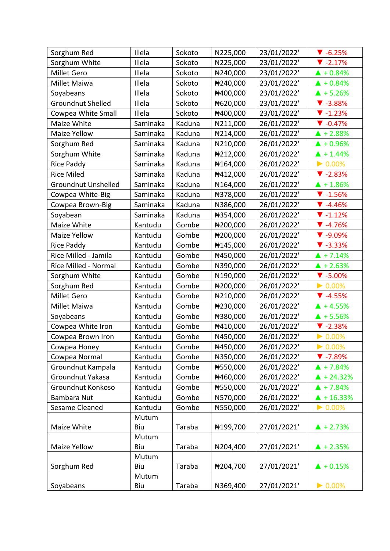| Sorghum Red                | Illela   | Sokoto | ₦225,000 | 23/01/2022' | $\blacktriangledown$ -6.25% |
|----------------------------|----------|--------|----------|-------------|-----------------------------|
| Sorghum White              | Illela   | Sokoto | ₦225,000 | 23/01/2022' | $\blacktriangledown$ -2.17% |
| <b>Millet Gero</b>         | Illela   | Sokoto | ₦240,000 | 23/01/2022' | $\triangle$ + 0.84%         |
| Millet Maiwa               | Illela   | Sokoto | #240,000 | 23/01/2022' | $\triangle$ + 0.84%         |
| Soyabeans                  | Illela   | Sokoto | ₦400,000 | 23/01/2022' | $\triangle$ + 5.26%         |
| <b>Groundnut Shelled</b>   | Illela   | Sokoto | ₦620,000 | 23/01/2022' | $\blacktriangledown$ -3.88% |
| Cowpea White Small         | Illela   | Sokoto | ₦400,000 | 23/01/2022' | $\blacktriangledown$ -1.23% |
| Maize White                | Saminaka | Kaduna | ₦211,000 | 26/01/2022' | $\blacktriangledown$ -0.47% |
| Maize Yellow               | Saminaka | Kaduna | #214,000 | 26/01/2022' | $\triangle$ + 2.88%         |
| Sorghum Red                | Saminaka | Kaduna | ₦210,000 | 26/01/2022' | $\triangle$ + 0.96%         |
| Sorghum White              | Saminaka | Kaduna | #212,000 | 26/01/2022' | $\triangle$ + 1.44%         |
| Rice Paddy                 | Saminaka | Kaduna | #164,000 | 26/01/2022' | $\triangleright$ 0.00%      |
| <b>Rice Miled</b>          | Saminaka | Kaduna | #412,000 | 26/01/2022' | $\blacktriangledown$ -2.83% |
| <b>Groundnut Unshelled</b> | Saminaka | Kaduna | #164,000 | 26/01/2022' | $\triangle$ + 1.86%         |
| Cowpea White-Big           | Saminaka | Kaduna | #378,000 | 26/01/2022' | $\blacktriangledown$ -1.56% |
| Cowpea Brown-Big           | Saminaka | Kaduna | ₦386,000 | 26/01/2022' | $\blacktriangledown$ -4.46% |
| Soyabean                   | Saminaka | Kaduna | ₦354,000 | 26/01/2022' | $\blacktriangledown$ -1.12% |
| Maize White                | Kantudu  | Gombe  | #200,000 | 26/01/2022' | $\blacktriangledown$ -4.76% |
| Maize Yellow               | Kantudu  | Gombe  | #200,000 | 26/01/2022' | $\blacktriangledown$ -9.09% |
| Rice Paddy                 | Kantudu  | Gombe  | #145,000 | 26/01/2022' | $\blacktriangledown$ -3.33% |
| Rice Milled - Jamila       | Kantudu  | Gombe  | #450,000 | 26/01/2022' | $\triangle$ + 7.14%         |
| Rice Milled - Normal       | Kantudu  | Gombe  | ₦390,000 | 26/01/2022' | $\triangle$ + 2.63%         |
| Sorghum White              | Kantudu  | Gombe  | ₦190,000 | 26/01/2022' | $\blacktriangledown$ -5.00% |
| Sorghum Red                | Kantudu  | Gombe  | ₦200,000 | 26/01/2022' | $\triangleright$ 0.00%      |
| <b>Millet Gero</b>         | Kantudu  | Gombe  | #210,000 | 26/01/2022' | $\blacktriangledown$ -4.55% |
| Millet Maiwa               | Kantudu  | Gombe  | #230,000 | 26/01/2022' | $\triangle$ + 4.55%         |
| Soyabeans                  | Kantudu  | Gombe  | ₦380,000 | 26/01/2022' | $\triangle$ + 5.56%         |
| Cowpea White Iron          | Kantudu  | Gombe  | ₦410,000 | 26/01/2022' | $\blacktriangledown$ -2.38% |
| Cowpea Brown Iron          | Kantudu  | Gombe  | ₦450,000 | 26/01/2022' | $\triangleright$ 0.00%      |
| Cowpea Honey               | Kantudu  | Gombe  | #450,000 | 26/01/2022' | $\triangleright$ 0.00%      |
| Cowpea Normal              | Kantudu  | Gombe  | #350,000 | 26/01/2022' | $\blacktriangledown$ -7.89% |
| Groundnut Kampala          | Kantudu  | Gombe  | #550,000 | 26/01/2022' | $\triangle$ + 7.84%         |
| Groundnut Yakasa           | Kantudu  | Gombe  | N460,000 | 26/01/2022' | $\triangle$ + 24.32%        |
| Groundnut Konkoso          | Kantudu  | Gombe  | #550,000 | 26/01/2022' | $\triangle$ + 7.84%         |
| <b>Bambara Nut</b>         | Kantudu  | Gombe  | #570,000 | 26/01/2022' | $\triangle$ + 16.33%        |
| Sesame Cleaned             | Kantudu  | Gombe  | #550,000 | 26/01/2022' | $\triangleright$ 0.00%      |
|                            | Mutum    |        |          |             |                             |
| Maize White                | Biu      | Taraba | ₦199,700 | 27/01/2021' | $\triangle$ + 2.73%         |
|                            | Mutum    |        |          |             |                             |
| Maize Yellow               | Biu      | Taraba | ₦204,400 | 27/01/2021' | $\triangle$ + 2.35%         |
|                            | Mutum    |        |          |             |                             |
| Sorghum Red                | Biu      | Taraba | ₦204,700 | 27/01/2021' | $\triangle$ + 0.15%         |
|                            | Mutum    |        |          |             |                             |
| Soyabeans                  | Biu      | Taraba | #369,400 | 27/01/2021' | $\triangleright$ 0.00%      |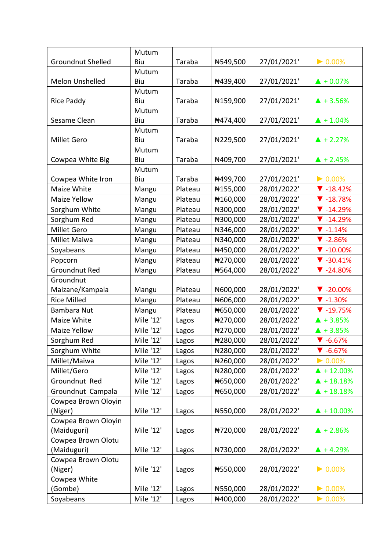|                          | Mutum     |         |          |             |                              |
|--------------------------|-----------|---------|----------|-------------|------------------------------|
| <b>Groundnut Shelled</b> | Biu       | Taraba  | #549,500 | 27/01/2021' | $\triangleright$ 0.00%       |
|                          | Mutum     |         |          |             |                              |
| Melon Unshelled          | Biu       | Taraba  | ₦439,400 | 27/01/2021' | $\triangle$ + 0.07%          |
|                          | Mutum     |         |          |             |                              |
| <b>Rice Paddy</b>        | Biu       | Taraba  | #159,900 | 27/01/2021' | $\triangle$ + 3.56%          |
|                          | Mutum     |         |          |             |                              |
| Sesame Clean             | Biu       | Taraba  | ₦474,400 | 27/01/2021' | $\triangle$ + 1.04%          |
|                          | Mutum     |         |          |             |                              |
| <b>Millet Gero</b>       | Biu       | Taraba  | #229,500 | 27/01/2021' | $\triangle$ + 2.27%          |
|                          | Mutum     |         |          |             |                              |
| Cowpea White Big         | Biu       | Taraba  | ₦409,700 | 27/01/2021' | $\triangle$ + 2.45%          |
|                          | Mutum     |         |          |             |                              |
| Cowpea White Iron        | Biu       | Taraba  | ₦499,700 | 27/01/2021' | $\triangleright$ 0.00%       |
| Maize White              | Mangu     | Plateau | #155,000 | 28/01/2022' | $\blacktriangledown$ -18.42% |
| <b>Maize Yellow</b>      | Mangu     | Plateau | #160,000 | 28/01/2022' | $\blacktriangledown$ -18.78% |
| Sorghum White            | Mangu     | Plateau | ₦300,000 | 28/01/2022' | $\blacktriangledown$ -14.29% |
| Sorghum Red              | Mangu     | Plateau | ₦300,000 | 28/01/2022' | $\nabla - 14.29%$            |
| Millet Gero              | Mangu     | Plateau | ₦346,000 | 28/01/2022' | $\blacktriangledown$ -1.14%  |
| Millet Maiwa             | Mangu     | Plateau | #340,000 | 28/01/2022' | $\blacktriangledown$ -2.86%  |
| Soyabeans                | Mangu     | Plateau | ₦450,000 | 28/01/2022' | $\blacktriangledown$ -10.00% |
| Popcorn                  | Mangu     | Plateau | ₦270,000 | 28/01/2022' | $\blacktriangledown$ -30.41% |
| Groundnut Red            | Mangu     | Plateau | #564,000 | 28/01/2022' | $\blacktriangledown$ -24.80% |
| Groundnut                |           |         |          |             |                              |
| Maizane/Kampala          | Mangu     | Plateau | ₦600,000 | 28/01/2022' | $\blacktriangledown$ -20.00% |
| <b>Rice Milled</b>       | Mangu     | Plateau | N606,000 | 28/01/2022' | $\blacktriangledown$ -1.30%  |
| Bambara Nut              | Mangu     | Plateau | N650,000 | 28/01/2022' | $\blacktriangledown$ -19.75% |
| Maize White              | Mile '12' | Lagos   | ₦270,000 | 28/01/2022' | $\triangle$ + 3.85%          |
| Maize Yellow             | Mile '12' | Lagos   | ₦270,000 | 28/01/2022' | $\triangle$ + 3.85%          |
| Sorghum Red              | Mile '12' | Lagos   | ₦280,000 | 28/01/2022' | $\blacktriangledown$ -6.67%  |
| Sorghum White            | Mile '12' | Lagos   | #280,000 | 28/01/2022' | $\blacktriangledown$ -6.67%  |
| Millet/Maiwa             | Mile '12' | Lagos   | ₦260,000 | 28/01/2022' | $\triangleright$ 0.00%       |
| Millet/Gero              | Mile '12' | Lagos   | ₦280,000 | 28/01/2022' | $\blacktriangle$ + 12.00%    |
| Groundnut Red            | Mile '12' | Lagos   | N650,000 | 28/01/2022' | $\triangle$ + 18.18%         |
| Groundnut Campala        | Mile '12' | Lagos   | ₦650,000 | 28/01/2022' | $\triangle$ + 18.18%         |
| Cowpea Brown Oloyin      |           |         |          |             |                              |
| (Niger)                  | Mile '12' | Lagos   | #550,000 | 28/01/2022' | $\triangle$ + 10.00%         |
| Cowpea Brown Oloyin      |           |         |          |             |                              |
| (Maiduguri)              | Mile '12' | Lagos   | ₦720,000 | 28/01/2022' | $\triangle$ + 2.86%          |
| Cowpea Brown Olotu       |           |         |          |             |                              |
| (Maiduguri)              | Mile '12' | Lagos   | ₦730,000 | 28/01/2022' | $\triangle$ + 4.29%          |
| Cowpea Brown Olotu       |           |         |          |             |                              |
| (Niger)                  | Mile '12' | Lagos   | #550,000 | 28/01/2022' | $\triangleright$ 0.00%       |
| Cowpea White             |           |         |          |             |                              |
| (Gombe)                  | Mile '12' | Lagos   | #550,000 | 28/01/2022' | $\triangleright$ 0.00%       |
| Soyabeans                | Mile '12' | Lagos   | ₦400,000 | 28/01/2022' | $\triangleright$ 0.00%       |